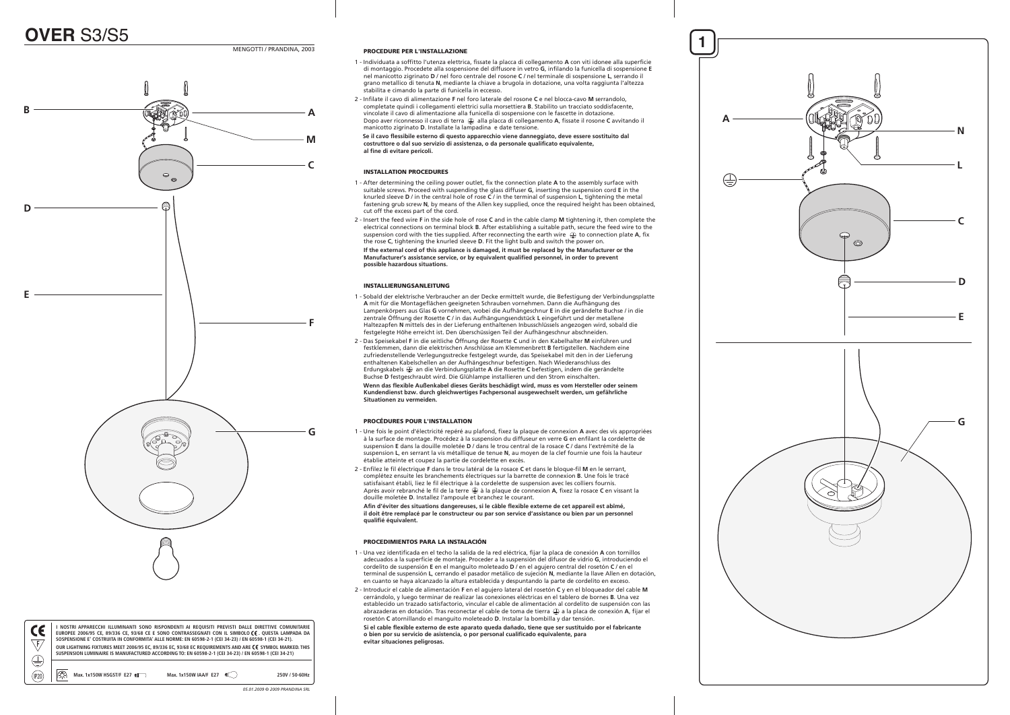$C\epsilon$  $\sqrt{f/}$  $\bigoplus$ 

- 1 Individuata a soffitto l'utenza elettrica, fissate la placca di collegamento **A** con viti idonee alla superficie di montaggio. Procedete alla sospensione del diffusore in vetro **G**, infilando la funicella di sospensione **E** nel manicotto zigrinato **D** / nel foro centrale del rosone **C** / nel terminale di sospensione **L**, serrando il grano metallico di tenuta **N**, mediante la chiave a brugola in dotazione, una volta raggiunta l'altezza stabilita e cimando la parte di funicella in eccesso.
- 2 Infilate il cavo di alimentazione **F** nel foro laterale del rosone **C** e nel blocca-cavo **M** serrandolo, completate quindi i collegamenti elettrici sulla morsettiera **B**. Stabilito un tracciato soddisfacente, vincolate il cavo di alimentazione alla funicella di sospensione con le fascette in dotazione. Dopo aver riconnesso il cavo di terra alla placca di collegamento **A**, fissate il rosone **C** avvitando il manicotto zigrinato **D**. Installate la lampadina e date tensione.

4 - **Se il cavo flessibile esterno di questo apparecchio viene danneggiato, deve essere sostituito dal costruttore o dal suo servizio di assistenza, o da personale qualificato equivalente, al fine di evitare pericoli.** 

### INSTALLATION PROCEDURES

- 1 After determining the ceiling power outlet, fix the connection plate **A** to the assembly surface with suitable screws. Proceed with suspending the glass diffuser **G**, inserting the suspension cord **E** in the knurled sleeve **D** / in the central hole of rose **C** / in the terminal of suspension **L**, tightening the metal fastening grub screw **N**, by means of the Allen key supplied, once the required height has been obtained, cut off the excess part of the cord.
- 2 Insert the feed wire **F** in the side hole of rose **C** and in the cable clamp **M** tightening it, then complete the electrical connections on terminal block **B**. After establishing a suitable path, secure the feed wire to the suspension cord with the ties supplied. After reconnecting the earth wire  $\textcircled{\tiny{\#}}$  to connection plate **A**, fix the rose **C**, tightening the knurled sleeve **D** . Fit the light bulb and switch the power on.  **If the external cord of this appliance is damaged, it must be replaced by the Manufacturer or the**

 **Manufacturer's assistance service, or by equivalent qualified personnel, in order to prevent possible hazardous situations.** 

## INSTALLIERUNGSANLEITUNG

- 1 Sobald der elektrische Verbraucher an der Decke ermittelt wurde, die Befestigung der Verbindungsplatte **A** mit für die Montageflächen geeigneten Schrauben vornehmen. Dann die Aufhängung des Lampenk örpers aus Glas **G** vornehmen, wobei die Aufh ängeschnur **E** in die ger ändelte Buchse / in die zentrale Öffnung der Rosette **C** / in das Aufh ängungsendst ück **L** eingef ührt und der metallene Haltezapfen **N** mittels des in der Lieferung enthaltenen Inbusschl üssels angezogen wird, sobald die festgelegte H öhe erreicht ist. Den übersch üssigen Teil der Aufh ängeschnur abschneiden.
- 2 Das Speisekabel **F** in die seitliche Öffnung der Rosette **C** und in den Kabelhalter **M** einf ühren und festklemmen, dann die elektrischen Anschl üsse am Klemmenbrett **B** fertigstellen. Nachdem eine zufriedenstellende Verlegungsstrecke festgelegt wurde, das Speisekabel mit den in der Lieferung enthaltenen Kabelschellen an der Aufh ängeschnur befestigen. Nach Wiederanschluss des Erdungskabels an die Verbindungsplatte **A** die Rosette **C** befestigen, indem die ger ändelte Buchse **D** festgeschraubt wird. Die Gl ühlampe installieren und den Strom einschalten. 4 - **Wenn das flexible Außenkabel dieses Geräts beschädigt wird, muss es vom Hersteller oder seinem Kundendienst bzw. durch gleichwertiges Fachpersonal ausgewechselt werden, um gefährliche Situationen zu vermeiden.**

# **(P20)**  $\left|\stackrel{\frown}{\frown}\right|$  Max. 1x150W HSGST/F E27 **41** Max. 1x150W IAA/F E27 **4** and **IP20** 150-60Hz **I NOSTRI APPARECCHI ILLUMINANTI SONO RISPONDENTI AI REQUISITI PREVISTI DALLE DIRETTIVE COMUNITARIE EUROPEE 2006/95 CE, 89/336 CE, 93/68 CE E SONO CONTRASSEGNATI CON IL SIMBOLO** CE**. QUESTA LAMPADA DA SOSPENSIONE E' COSTRUITA IN CONFORMITA' ALLE NORME: EN 60598-2-1 (CEI 34-23) / EN 60598-1 (CEI 34-21). OUR LIGHTNING FIXTURES MEET 2006/95 EC, 89/336 EC, 93/68 EC REQUIREMENTS AND ARE** CE **SYMBOL MARKED. THIS SUSPENSION LUMINAIRE IS MANUFACTURED ACCORDING TO: EN 60598-2-1 (CEI 34-23) / EN 60598-1 (CEI 34-21)**

## MENGOTTI / PRANDINA, 2003 **1 PROCEDURE PER L'INSTALI AZIONE** PROCEDURE PER L'INSTALLAZIONE

### PROCÉDURES POUR L'INSTALLATION

- 1 Une fois le point d'électricité repéré au plafond, fixez la plaque de connexion **A** avec des vis appropriées à la surface de montage. Procédez à la suspension du diffuseur en verre **G** en enfilant la cordelette de suspension **E** dans la douille moletée **D** / dans le trou central de la rosace **C** / dans l'extrémité de la suspension **L**, en serrant la vis métallique de tenue **N**, au moyen de la clef fournie une fois la hauteur établie atteinte et coupez la partie de cordelette en excès.
- 2 Enfilez le fil électrique **F** dans le trou latéral de la rosace **C** et dans le bloque-fil **M** en le serrant, complétez ensuite les branchements électriques sur la barrette de connexion **B**. Une fois le tracé satisfaisant établi, liez le fil électrique à la cordelette de suspension avec les colliers fournis. Après avoir rebranché le fil de la terre ⊕ à la plaque de connexion **A**, fixez la rosace **C** en vissant la douille moletée **D**. Installez l'ampoule et branchez le courant.

 **Afin d'éviter des situations dangereuses, si le câble flexible externe de cet appareil est abîmé, il doit être remplacé par le constructeur ou par son service d'assistance ou bien par un personnel qualifié équivalent.** 

## PROCEDIMIENTOS PARA LA INSTALACIÓN

- 1 Una vez identificada en el techo la salida de la red eléctrica, fijar la placa de conexi ón **A** con tornillos adecuados a la superficie de montaje. Proceder a la suspensi ón del difusor de vidrio **G**, introduciendo el cordelito de suspensi ón **E** en el manguito moleteado **D** / en el agujero central del roset ón **C** / en el terminal de suspensión L, cerrando el pasador metálico de sujeción N, mediante la llave Allen en dotación, en cuanto se haya alcanzado la altura establecida y despuntando la parte de cordelito en exceso.
- 2 Introducir el cable de alimentaci ón **F** en el agujero lateral del roset ón **C** y en el bloqueador del cable **M** cerr ándolo, y luego terminar de realizar las conexiones eléctricas en el tablero de bornes **B**. Una vez establecido un trazado satisfactorio, vincular el cable de alimentaci ón al cordelito de suspensi ón con las abrazaderas en dotación. Tras reconectar el cable de toma de tierra ⊕ a la placa de conexión A, fijar el roset ón **C** atornillando el manguito moleteado **D**. Instalar la bombilla y dar tensi ón.

 **Si el cable flexible externo de este aparato queda dañado, tiene que ser sustituido por el fabricante o bien por su servicio de asistencia, o por personal cualificado equivalente, para evitar situaciones peligrosas.** 

*05.01.2009 © 2009 PRANDINA SRL*





**A**